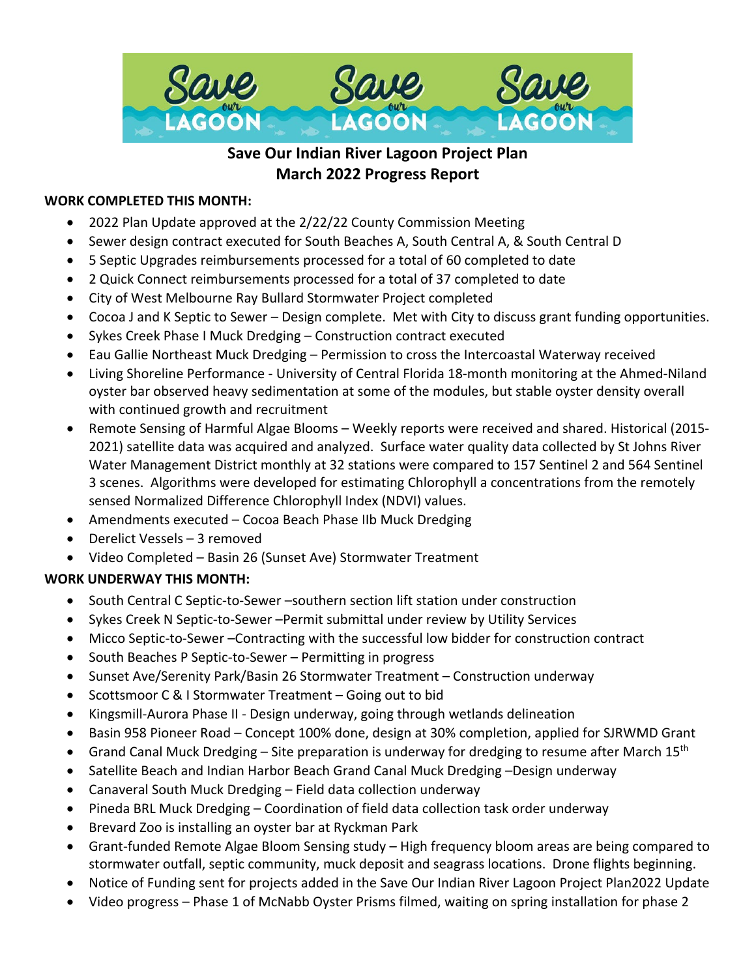

# **Save Our Indian River Lagoon Project Plan March 2022 Progress Report**

### **WORK COMPLETED THIS MONTH:**

- 2022 Plan Update approved at the 2/22/22 County Commission Meeting
- Sewer design contract executed for South Beaches A, South Central A, & South Central D
- 5 Septic Upgrades reimbursements processed for a total of 60 completed to date
- 2 Quick Connect reimbursements processed for a total of 37 completed to date
- City of West Melbourne Ray Bullard Stormwater Project completed
- Cocoa J and K Septic to Sewer Design complete. Met with City to discuss grant funding opportunities.
- Sykes Creek Phase I Muck Dredging Construction contract executed
- Eau Gallie Northeast Muck Dredging Permission to cross the Intercoastal Waterway received
- Living Shoreline Performance University of Central Florida 18-month monitoring at the Ahmed-Niland oyster bar observed heavy sedimentation at some of the modules, but stable oyster density overall with continued growth and recruitment
- Remote Sensing of Harmful Algae Blooms Weekly reports were received and shared. Historical (2015- 2021) satellite data was acquired and analyzed. Surface water quality data collected by St Johns River Water Management District monthly at 32 stations were compared to 157 Sentinel 2 and 564 Sentinel 3 scenes. Algorithms were developed for estimating Chlorophyll a concentrations from the remotely sensed Normalized Difference Chlorophyll Index (NDVI) values.
- Amendments executed Cocoa Beach Phase IIb Muck Dredging
- Derelict Vessels 3 removed
- Video Completed Basin 26 (Sunset Ave) Stormwater Treatment

## **WORK UNDERWAY THIS MONTH:**

- South Central C Septic-to-Sewer –southern section lift station under construction
- Sykes Creek N Septic-to-Sewer –Permit submittal under review by Utility Services
- Micco Septic-to-Sewer –Contracting with the successful low bidder for construction contract
- South Beaches P Septic-to-Sewer Permitting in progress
- Sunset Ave/Serenity Park/Basin 26 Stormwater Treatment Construction underway
- Scottsmoor C & I Stormwater Treatment Going out to bid
- Kingsmill-Aurora Phase II Design underway, going through wetlands delineation
- Basin 958 Pioneer Road Concept 100% done, design at 30% completion, applied for SJRWMD Grant
- Grand Canal Muck Dredging Site preparation is underway for dredging to resume after March 15<sup>th</sup>
- Satellite Beach and Indian Harbor Beach Grand Canal Muck Dredging –Design underway
- Canaveral South Muck Dredging Field data collection underway
- Pineda BRL Muck Dredging Coordination of field data collection task order underway
- Brevard Zoo is installing an oyster bar at Ryckman Park
- Grant-funded Remote Algae Bloom Sensing study High frequency bloom areas are being compared to stormwater outfall, septic community, muck deposit and seagrass locations. Drone flights beginning.
- Notice of Funding sent for projects added in the Save Our Indian River Lagoon Project Plan2022 Update
- Video progress Phase 1 of McNabb Oyster Prisms filmed, waiting on spring installation for phase 2